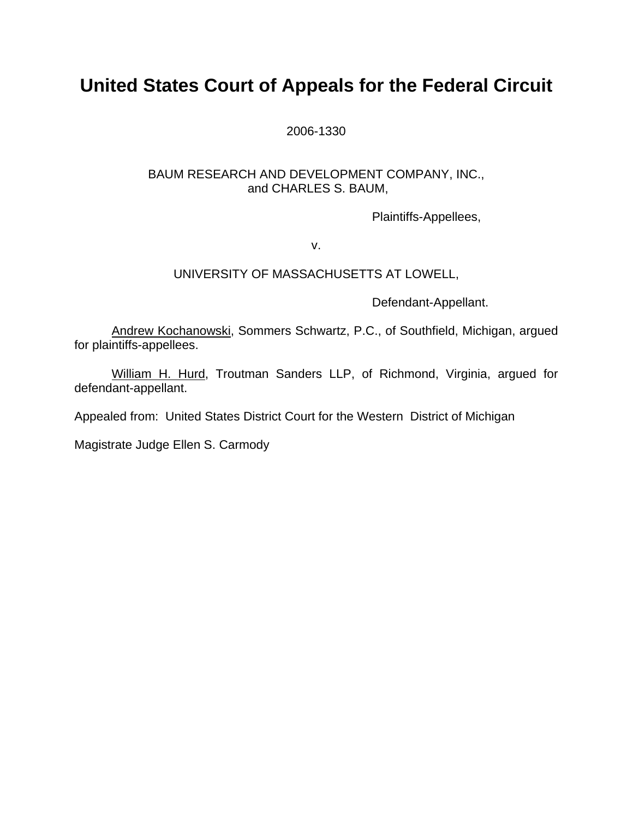# **United States Court of Appeals for the Federal Circuit**

### 2006-1330

## BAUM RESEARCH AND DEVELOPMENT COMPANY, INC., and CHARLES S. BAUM,

Plaintiffs-Appellees,

v.

## UNIVERSITY OF MASSACHUSETTS AT LOWELL,

Defendant-Appellant.

Andrew Kochanowski, Sommers Schwartz, P.C., of Southfield, Michigan, argued for plaintiffs-appellees.

William H. Hurd, Troutman Sanders LLP, of Richmond, Virginia, argued for defendant-appellant.

Appealed from: United States District Court for the Western District of Michigan

Magistrate Judge Ellen S. Carmody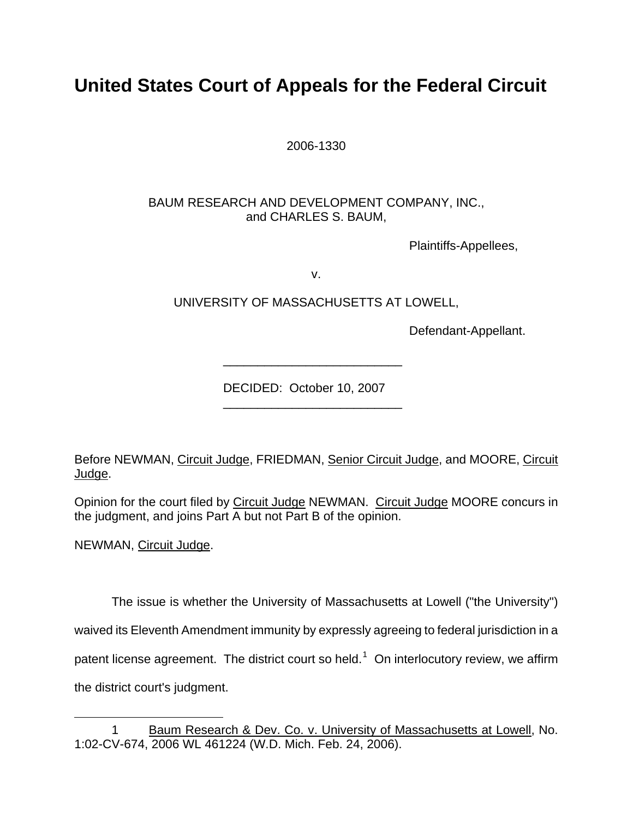# **United States Court of Appeals for the Federal Circuit**

2006-1330

# BAUM RESEARCH AND DEVELOPMENT COMPANY, INC., and CHARLES S. BAUM,

Plaintiffs-Appellees,

v.

UNIVERSITY OF MASSACHUSETTS AT LOWELL,

\_\_\_\_\_\_\_\_\_\_\_\_\_\_\_\_\_\_\_\_\_\_\_\_\_\_

\_\_\_\_\_\_\_\_\_\_\_\_\_\_\_\_\_\_\_\_\_\_\_\_\_\_

Defendant-Appellant.

DECIDED: October 10, 2007

Before NEWMAN, Circuit Judge, FRIEDMAN, Senior Circuit Judge, and MOORE, Circuit Judge.

Opinion for the court filed by Circuit Judge NEWMAN. Circuit Judge MOORE concurs in the judgment, and joins Part A but not Part B of the opinion.

NEWMAN, Circuit Judge.

The issue is whether the University of Massachusetts at Lowell ("the University") waived its Eleventh Amendment immunity by expressly agreeing to federal jurisdiction in a patent license agreement. The district court so held.<sup>[1](#page-1-0)</sup> On interlocutory review, we affirm the district court's judgment.

<span id="page-1-0"></span><sup>1</sup> 1 Baum Research & Dev. Co. v. University of Massachusetts at Lowell, No. 1:02-CV-674, 2006 WL 461224 (W.D. Mich. Feb. 24, 2006).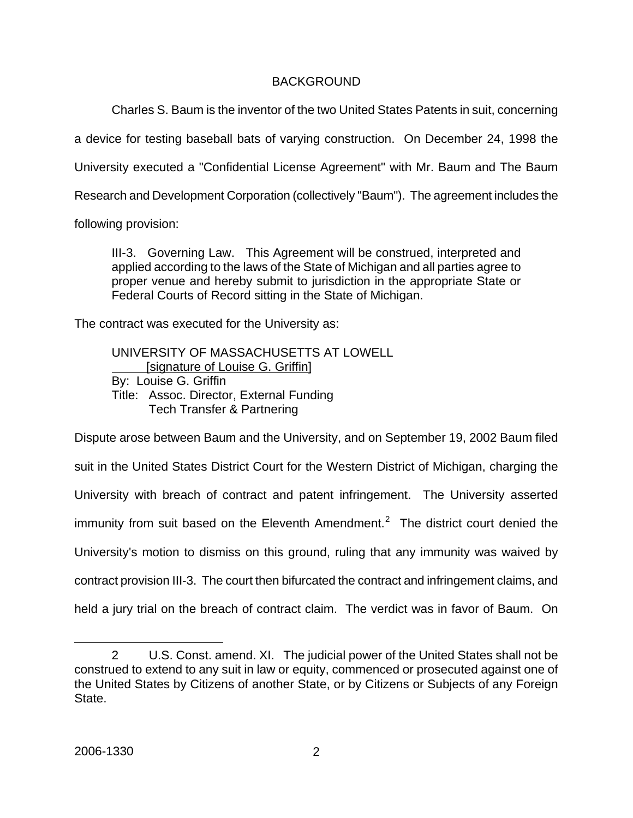## BACKGROUND

Charles S. Baum is the inventor of the two United States Patents in suit, concerning

a device for testing baseball bats of varying construction. On December 24, 1998 the

University executed a "Confidential License Agreement" with Mr. Baum and The Baum

Research and Development Corporation (collectively "Baum"). The agreement includes the

following provision:

III-3. Governing Law. This Agreement will be construed, interpreted and applied according to the laws of the State of Michigan and all parties agree to proper venue and hereby submit to jurisdiction in the appropriate State or Federal Courts of Record sitting in the State of Michigan.

The contract was executed for the University as:

UNIVERSITY OF MASSACHUSETTS AT LOWELL [signature of Louise G. Griffin] By: Louise G. Griffin Title: Assoc. Director, External Funding Tech Transfer & Partnering

Dispute arose between Baum and the University, and on September 19, 2002 Baum filed suit in the United States District Court for the Western District of Michigan, charging the University with breach of contract and patent infringement. The University asserted immunity from suit based on the Eleventh Amendment.<sup>[2](#page-2-0)</sup> The district court denied the University's motion to dismiss on this ground, ruling that any immunity was waived by contract provision III-3. The court then bifurcated the contract and infringement claims, and held a jury trial on the breach of contract claim. The verdict was in favor of Baum. On

 $\overline{a}$ 

<span id="page-2-0"></span><sup>2</sup> U.S. Const. amend. XI. The judicial power of the United States shall not be construed to extend to any suit in law or equity, commenced or prosecuted against one of the United States by Citizens of another State, or by Citizens or Subjects of any Foreign State.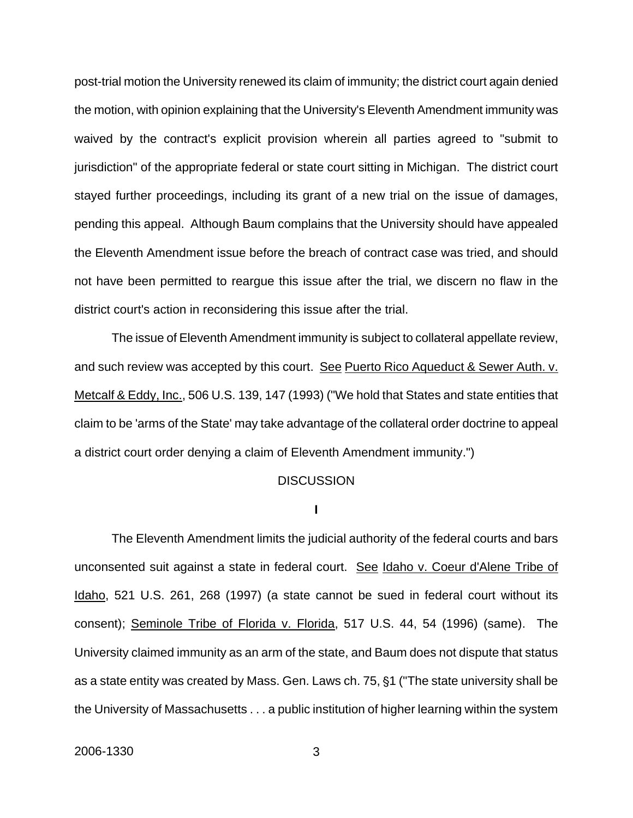post-trial motion the University renewed its claim of immunity; the district court again denied the motion, with opinion explaining that the University's Eleventh Amendment immunity was waived by the contract's explicit provision wherein all parties agreed to "submit to jurisdiction" of the appropriate federal or state court sitting in Michigan. The district court stayed further proceedings, including its grant of a new trial on the issue of damages, pending this appeal. Although Baum complains that the University should have appealed the Eleventh Amendment issue before the breach of contract case was tried, and should not have been permitted to reargue this issue after the trial, we discern no flaw in the district court's action in reconsidering this issue after the trial.

The issue of Eleventh Amendment immunity is subject to collateral appellate review, and such review was accepted by this court. See Puerto Rico Aqueduct & Sewer Auth. v. Metcalf & Eddy, Inc., 506 U.S. 139, 147 (1993) ("We hold that States and state entities that claim to be 'arms of the State' may take advantage of the collateral order doctrine to appeal a district court order denying a claim of Eleventh Amendment immunity.")

#### **DISCUSSION**

**I**

The Eleventh Amendment limits the judicial authority of the federal courts and bars unconsented suit against a state in federal court. See Idaho v. Coeur d'Alene Tribe of Idaho, 521 U.S. 261, 268 (1997) (a state cannot be sued in federal court without its consent); Seminole Tribe of Florida v. Florida, 517 U.S. 44, 54 (1996) (same). The University claimed immunity as an arm of the state, and Baum does not dispute that status as a state entity was created by Mass. Gen. Laws ch. 75, §1 ("The state university shall be the University of Massachusetts . . . a public institution of higher learning within the system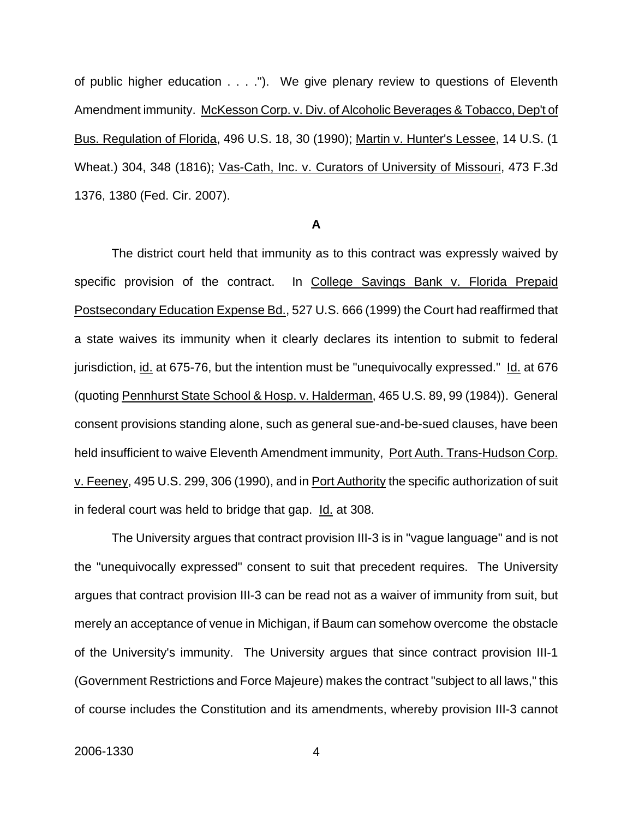of public higher education . . . ."). We give plenary review to questions of Eleventh Amendment immunity. McKesson Corp. v. Div. of Alcoholic Beverages & Tobacco, Dep't of Bus. Regulation of Florida, 496 U.S. 18, 30 (1990); Martin v. Hunter's Lessee, 14 U.S. (1 Wheat.) 304, 348 (1816); Vas-Cath, Inc. v. Curators of University of Missouri, 473 F.3d 1376, 1380 (Fed. Cir. 2007).

#### **A**

The district court held that immunity as to this contract was expressly waived by specific provision of the contract. In College Savings Bank v. Florida Prepaid Postsecondary Education Expense Bd., 527 U.S. 666 (1999) the Court had reaffirmed that a state waives its immunity when it clearly declares its intention to submit to federal jurisdiction, id. at 675-76, but the intention must be "unequivocally expressed." Id. at 676 (quoting Pennhurst State School & Hosp. v. Halderman, 465 U.S. 89, 99 (1984)). General consent provisions standing alone, such as general sue-and-be-sued clauses, have been held insufficient to waive Eleventh Amendment immunity, Port Auth. Trans-Hudson Corp. v. Feeney, 495 U.S. 299, 306 (1990), and in Port Authority the specific authorization of suit in federal court was held to bridge that gap. Id. at 308.

The University argues that contract provision III-3 is in "vague language" and is not the "unequivocally expressed" consent to suit that precedent requires. The University argues that contract provision III-3 can be read not as a waiver of immunity from suit, but merely an acceptance of venue in Michigan, if Baum can somehow overcome the obstacle of the University's immunity. The University argues that since contract provision III-1 (Government Restrictions and Force Majeure) makes the contract "subject to all laws," this of course includes the Constitution and its amendments, whereby provision III-3 cannot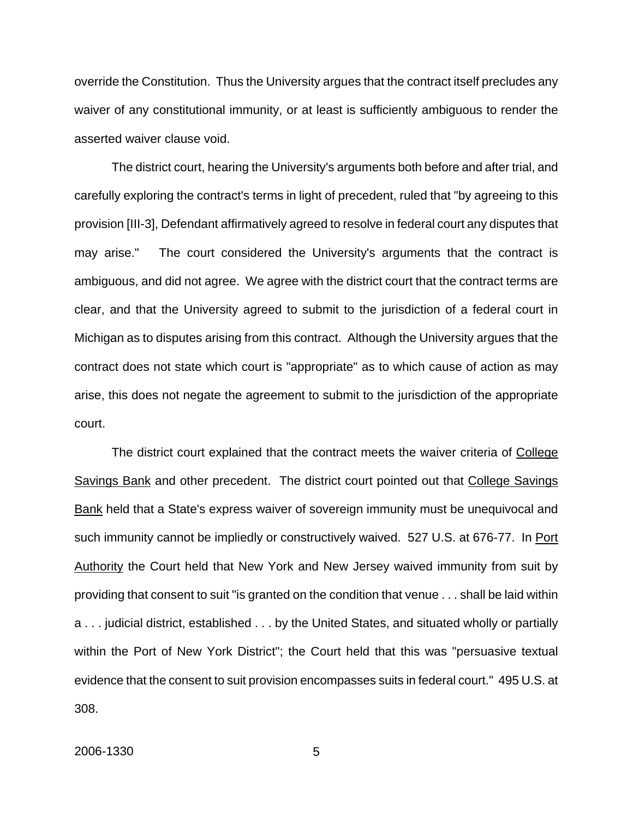override the Constitution. Thus the University argues that the contract itself precludes any waiver of any constitutional immunity, or at least is sufficiently ambiguous to render the asserted waiver clause void.

The district court, hearing the University's arguments both before and after trial, and carefully exploring the contract's terms in light of precedent, ruled that "by agreeing to this provision [III-3], Defendant affirmatively agreed to resolve in federal court any disputes that may arise." The court considered the University's arguments that the contract is ambiguous, and did not agree. We agree with the district court that the contract terms are clear, and that the University agreed to submit to the jurisdiction of a federal court in Michigan as to disputes arising from this contract. Although the University argues that the contract does not state which court is "appropriate" as to which cause of action as may arise, this does not negate the agreement to submit to the jurisdiction of the appropriate court.

The district court explained that the contract meets the waiver criteria of College Savings Bank and other precedent. The district court pointed out that College Savings Bank held that a State's express waiver of sovereign immunity must be unequivocal and such immunity cannot be impliedly or constructively waived. 527 U.S. at 676-77. In Port Authority the Court held that New York and New Jersey waived immunity from suit by providing that consent to suit "is granted on the condition that venue . . . shall be laid within a . . . judicial district, established . . . by the United States, and situated wholly or partially within the Port of New York District"; the Court held that this was "persuasive textual evidence that the consent to suit provision encompasses suits in federal court." 495 U.S. at 308.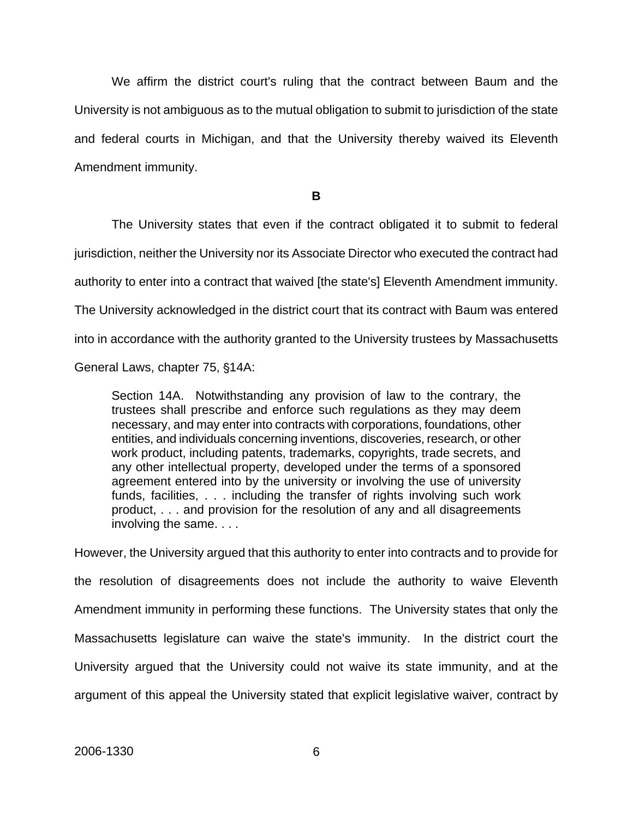We affirm the district court's ruling that the contract between Baum and the University is not ambiguous as to the mutual obligation to submit to jurisdiction of the state and federal courts in Michigan, and that the University thereby waived its Eleventh Amendment immunity.

**B**

The University states that even if the contract obligated it to submit to federal jurisdiction, neither the University nor its Associate Director who executed the contract had authority to enter into a contract that waived [the state's] Eleventh Amendment immunity. The University acknowledged in the district court that its contract with Baum was entered into in accordance with the authority granted to the University trustees by Massachusetts General Laws, chapter 75, §14A:

Section 14A. Notwithstanding any provision of law to the contrary, the trustees shall prescribe and enforce such regulations as they may deem necessary, and may enter into contracts with corporations, foundations, other entities, and individuals concerning inventions, discoveries, research, or other work product, including patents, trademarks, copyrights, trade secrets, and any other intellectual property, developed under the terms of a sponsored agreement entered into by the university or involving the use of university funds, facilities, . . . including the transfer of rights involving such work product, . . . and provision for the resolution of any and all disagreements involving the same. . . .

However, the University argued that this authority to enter into contracts and to provide for the resolution of disagreements does not include the authority to waive Eleventh Amendment immunity in performing these functions. The University states that only the Massachusetts legislature can waive the state's immunity. In the district court the University argued that the University could not waive its state immunity, and at the argument of this appeal the University stated that explicit legislative waiver, contract by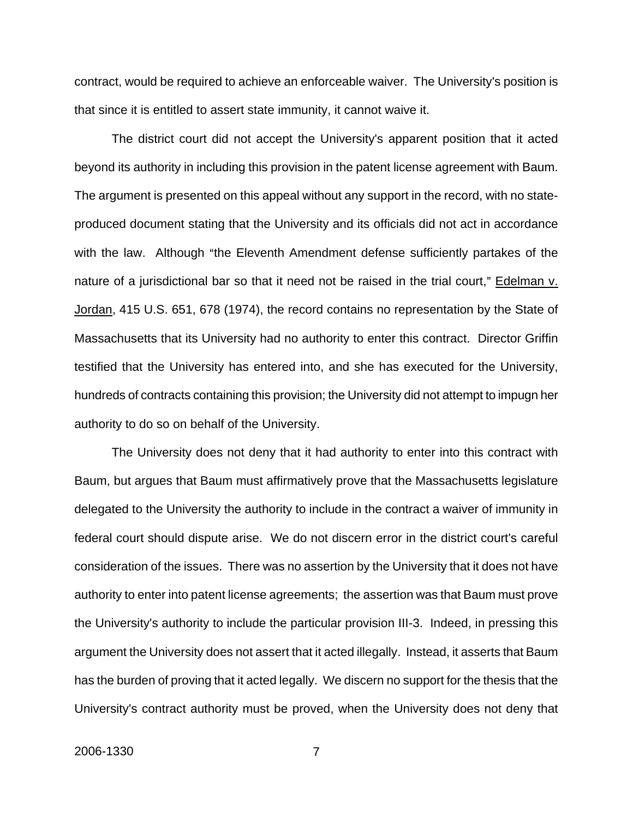contract, would be required to achieve an enforceable waiver. The University's position is that since it is entitled to assert state immunity, it cannot waive it.

The district court did not accept the University's apparent position that it acted beyond its authority in including this provision in the patent license agreement with Baum. The argument is presented on this appeal without any support in the record, with no stateproduced document stating that the University and its officials did not act in accordance with the law. Although "the Eleventh Amendment defense sufficiently partakes of the nature of a jurisdictional bar so that it need not be raised in the trial court," Edelman v. Jordan, 415 U.S. 651, 678 (1974), the record contains no representation by the State of Massachusetts that its University had no authority to enter this contract. Director Griffin testified that the University has entered into, and she has executed for the University, hundreds of contracts containing this provision; the University did not attempt to impugn her authority to do so on behalf of the University.

The University does not deny that it had authority to enter into this contract with Baum, but argues that Baum must affirmatively prove that the Massachusetts legislature delegated to the University the authority to include in the contract a waiver of immunity in federal court should dispute arise. We do not discern error in the district court's careful consideration of the issues. There was no assertion by the University that it does not have authority to enter into patent license agreements; the assertion was that Baum must prove the University's authority to include the particular provision III-3. Indeed, in pressing this argument the University does not assert that it acted illegally. Instead, it asserts that Baum has the burden of proving that it acted legally. We discern no support for the thesis that the University's contract authority must be proved, when the University does not deny that